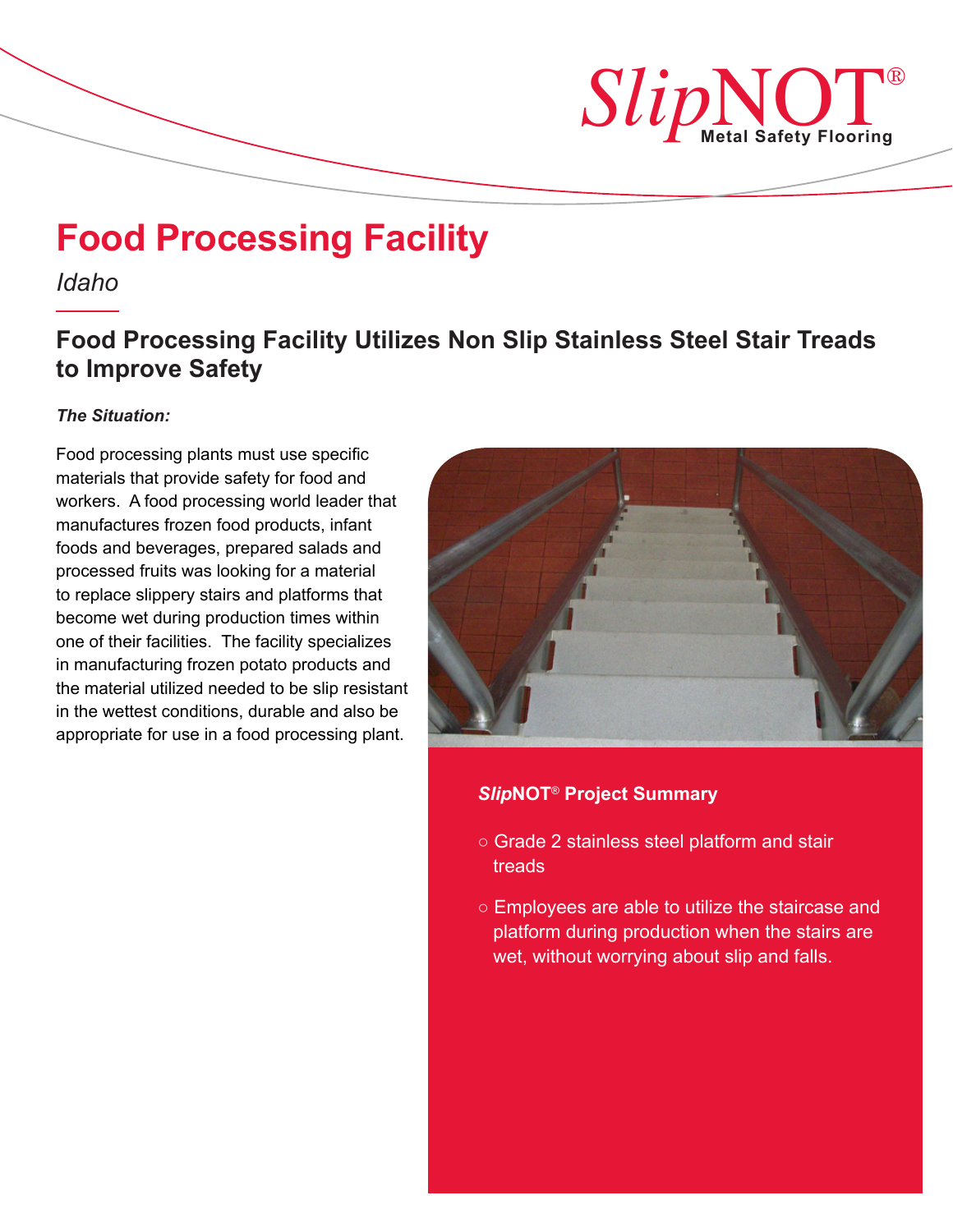

# **Food Processing Facility**

*Idaho*

# **Food Processing Facility Utilizes Non Slip Stainless Steel Stair Treads to Improve Safety**

## *The Situation:*

Food processing plants must use specific materials that provide safety for food and workers. A food processing world leader that manufactures frozen food products, infant foods and beverages, prepared salads and processed fruits was looking for a material to replace slippery stairs and platforms that become wet during production times within one of their facilities. The facility specializes in manufacturing frozen potato products and the material utilized needed to be slip resistant in the wettest conditions, durable and also be appropriate for use in a food processing plant.



### *Slip***NOT**® **Project Summary**

- *○* Grade 2 stainless steel platform and stair treads
- *○* Employees are able to utilize the staircase and platform during production when the stairs are wet, without worrying about slip and falls.